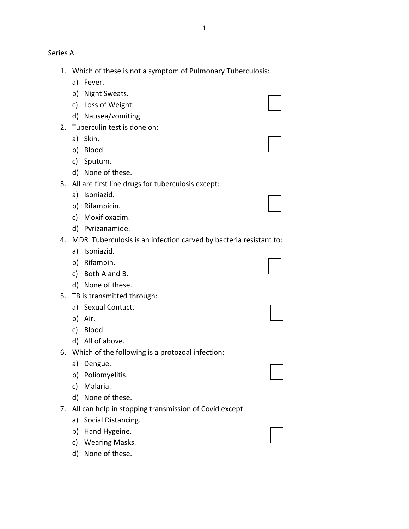Series A

- 1. Which of these is not a symptom of Pulmonary Tuberculosis:
	- a) Fever.
	- b) Night Sweats.
	- c) Loss of Weight.
	- d) Nausea/vomiting.
- 2. Tuberculin test is done on:
	- a) Skin.
	- b) Blood.
	- c) Sputum.
	- d) None of these.
- 3. All are first line drugs for tuberculosis except:
	- a) Isoniazid.
	- b) Rifampicin.
	- c) Moxifloxacim.
	- d) Pyrizanamide.
- 4. MDR Tuberculosis is an infection carved by bacteria resistant to:
	- a) Isoniazid.
	- b) Rifampin.
	- c) Both A and B.
	- d) None of these.
- 5. TB is transmitted through:
	- a) Sexual Contact.
	- b) Air.
	- c) Blood.
	- d) All of above.
- 6. Which of the following is a protozoal infection:
	- a) Dengue.
	- b) Poliomyelitis.
	- c) Malaria.
	- d) None of these.
- 7. All can help in stopping transmission of Covid except:
	- a) Social Distancing.
	- b) Hand Hygeine.
	- c) Wearing Masks.
	- d) None of these.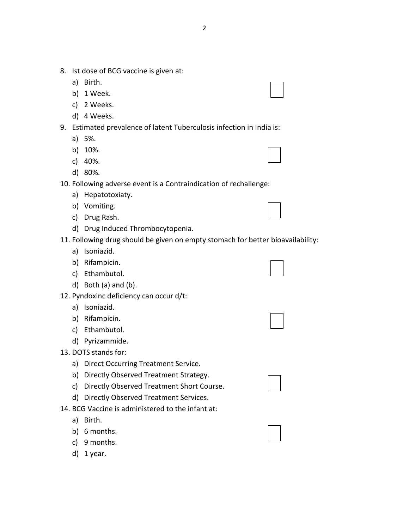- 8. Ist dose of BCG vaccine is given at:
	- a) Birth.
	- b) 1 Week.
	- c) 2 Weeks.
	- d) 4 Weeks.
- 9. Estimated prevalence of latent Tuberculosis infection in India is:
	- a) 5%.
	- b) 10%.
	- c) 40%.
	- d) 80%.

10. Following adverse event is a Contraindication of rechallenge:

- a) Hepatotoxiaty.
- b) Vomiting.
- c) Drug Rash.
- d) Drug Induced Thrombocytopenia.

# 11. Following drug should be given on empty stomach for better bioavailability:

- a) Isoniazid.
- b) Rifampicin.
- c) Ethambutol.
- d) Both (a) and (b).
- 12. Pyndoxinc deficiency can occur d/t:
	- a) Isoniazid.
	- b) Rifampicin.
	- c) Ethambutol.
	- d) Pyrizammide.
- 13. DOTS stands for:
	- a) Direct Occurring Treatment Service.
	- b) Directly Observed Treatment Strategy.
	- c) Directly Observed Treatment Short Course.
	- d) Directly Observed Treatment Services.
- 14. BCG Vaccine is administered to the infant at:
	- a) Birth.
	- b) 6 months.
	- c) 9 months.
	- d) 1 year.



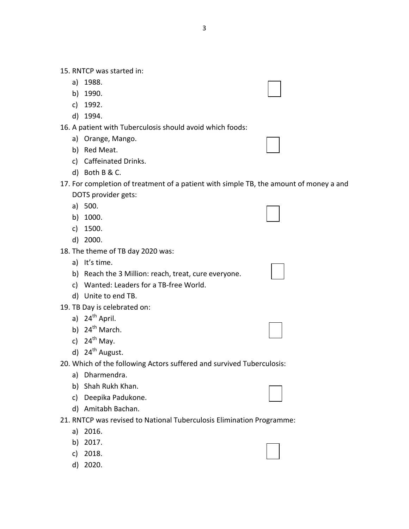15. RNTCP was started in:

- a) 1988.
- b) 1990.
- c) 1992.
- d) 1994.

16. A patient with Tuberculosis should avoid which foods:

- a) Orange, Mango.
- b) Red Meat.
- c) Caffeinated Drinks.
- d) Both B & C.
- 17. For completion of treatment of a patient with simple TB, the amount of money a and DOTS provider gets:
	- a) 500.
	- b) 1000.
	- c) 1500.
	- d) 2000.
- 18. The theme of TB day 2020 was:
	- a) It's time.

b) Reach the 3 Million: reach, treat, cure everyone.

- c) Wanted: Leaders for a TB-free World.
- d) Unite to end TB.
- 19. TB Day is celebrated on:
	- a)  $24<sup>th</sup>$  April.
	- b)  $24^{th}$  March.
	- c)  $24^{th}$  May.
	- d)  $24<sup>th</sup>$  August.
- 20. Which of the following Actors suffered and survived Tuberculosis:
	- a) Dharmendra.
	- b) Shah Rukh Khan.
	- c) Deepika Padukone.
	- d) Amitabh Bachan.
- 21. RNTCP was revised to National Tuberculosis Elimination Programme:
	- a) 2016.
	- b) 2017.
	- c) 2018.
	- d) 2020.

3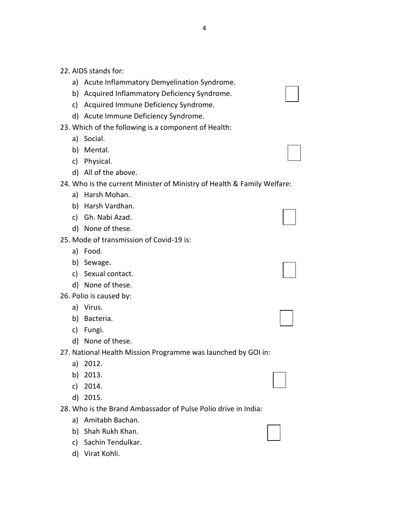- 22. AIDS stands for:
	- a) Acute Inflammatory Demyelination Syndrome.
	- b) Acquired Inflammatory Deficiency Syndrome.
	- c) Acquired Immune Deficiency Syndrome.
	- d) Acute Immune Deficiency Syndrome.
- 23. Which of the following is a component of Health:
	- a) Social.
	- b) Mental.
	- c) Physical.
	- d) All of the above.

### 24. Who is the current Minister of Ministry of Health & Family Welfare:

- a) Harsh Mohan.
- b) Harsh Vardhan.
- c) Gh. Nabi Azad.
- d) None of these.
- 25. Mode of transmission of Covid-19 is:
	- a) Food.
	- b) Sewage.
	- c) Sexual contact.
	- d) None of these.
- 26. Polio is caused by:
	- a) Virus.
	- b) Bacteria.
	- c) Fungi.
	- d) None of these.
- 27. National Health Mission Programme was launched by GOI in:
	- a) 2012.
	- b) 2013.
	- c) 2014.
	- d) 2015.
- 28. Who is the Brand Ambassador of Pulse Polio drive in India:
	- a) Amitabh Bachan.
	- b) Shah Rukh Khan.
	- c) Sachin Tendulkar.
	- d) Virat Kohli.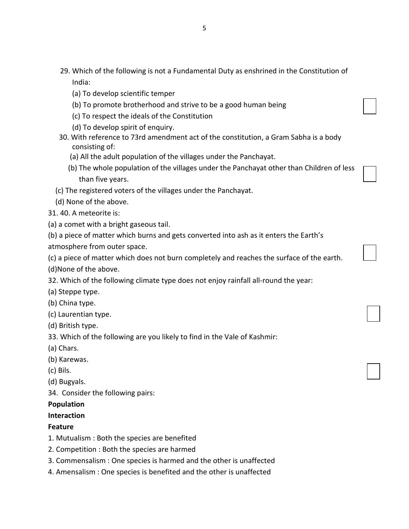- 29. Which of the following is not a Fundamental Duty as enshrined in the Constitution of India:
	- (a) To develop scientific temper
	- (b) To promote brotherhood and strive to be a good human being
	- (c) To respect the ideals of the Constitution
	- (d) To develop spirit of enquiry.
- 30. With reference to 73rd amendment act of the constitution, a Gram Sabha is a body consisting of:
	- (a) All the adult population of the villages under the Panchayat.
	- (b) The whole population of the villages under the Panchayat other than Children of less than five years.
- (c) The registered voters of the villages under the Panchayat.
- (d) None of the above.
- 31. 40. A meteorite is:
- (a) a comet with a bright gaseous tail.
- (b) a piece of matter which burns and gets converted into ash as it enters the Earth's
- atmosphere from outer space.

(c) a piece of matter which does not burn completely and reaches the surface of the earth.

(d)None of the above.

- 32. Which of the following climate type does not enjoy rainfall all-round the year:
- (a) Steppe type.
- (b) China type.
- (c) Laurentian type.
- (d) British type.
- 33. Which of the following are you likely to find in the Vale of Kashmir:
- (a) Chars.
- (b) Karewas.
- (c) Bils.
- (d) Bugyals.
- 34. Consider the following pairs:

## **Population**

### **Interaction**

#### **Feature**

- 1. Mutualism : Both the species are benefited
- 2. Competition : Both the species are harmed
- 3. Commensalism : One species is harmed and the other is unaffected
- 4. Amensalism : One species is benefited and the other is unaffected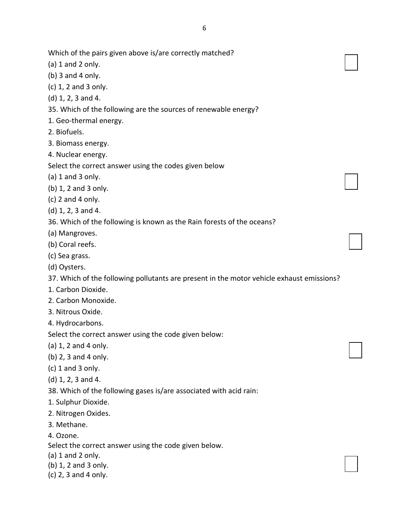Which of the pairs given above is/are correctly matched?

- $(a)$  1 and 2 only.
- (b) 3 and 4 only.
- (c) 1, 2 and 3 only.
- (d) 1, 2, 3 and 4.
- 35. Which of the following are the sources of renewable energy?
- 1. Geo-thermal energy.
- 2. Biofuels.
- 3. Biomass energy.
- 4. Nuclear energy.

Select the correct answer using the codes given below

- (a) 1 and 3 only.
- (b) 1, 2 and 3 only.
- $(c)$  2 and 4 only.
- (d) 1, 2, 3 and 4.
- 36. Which of the following is known as the Rain forests of the oceans?
- (a) Mangroves.
- (b) Coral reefs.
- (c) Sea grass.
- (d) Oysters.

37. Which of the following pollutants are present in the motor vehicle exhaust emissions?

- 1. Carbon Dioxide.
- 2. Carbon Monoxide.
- 3. Nitrous Oxide.
- 4. Hydrocarbons.

Select the correct answer using the code given below:

- (a) 1, 2 and 4 only.
- (b) 2, 3 and 4 only.
- (c) 1 and 3 only.
- (d) 1, 2, 3 and 4.
- 38. Which of the following gases is/are associated with acid rain:
- 1. Sulphur Dioxide.
- 2. Nitrogen Oxides.
- 3. Methane.
- 4. Ozone.

Select the correct answer using the code given below.

- (a) 1 and 2 only.
- (b) 1, 2 and 3 only.
- (c) 2, 3 and 4 only.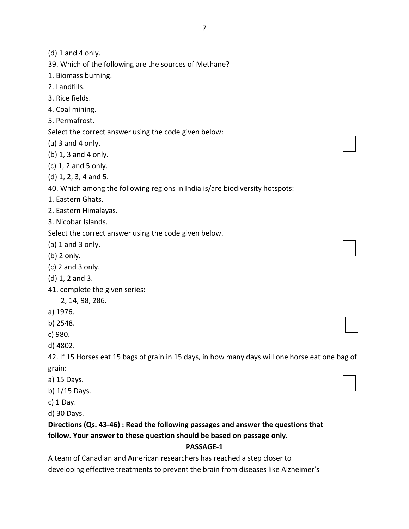(d) 1 and 4 only.

39. Which of the following are the sources of Methane?

1. Biomass burning.

2. Landfills.

3. Rice fields.

4. Coal mining.

5. Permafrost.

Select the correct answer using the code given below:

(a) 3 and 4 only.

(b) 1, 3 and 4 only.

(c) 1, 2 and 5 only.

(d) 1, 2, 3, 4 and 5.

40. Which among the following regions in India is/are biodiversity hotspots:

1. Eastern Ghats.

2. Eastern Himalayas.

3. Nicobar Islands.

Select the correct answer using the code given below.

 $(a)$  1 and 3 only.

(b) 2 only.

(c) 2 and 3 only.

(d) 1, 2 and 3.

41. complete the given series:

2, 14, 98, 286.

a) 1976.

b) 2548.

c) 980.

d) 4802.

42. If 15 Horses eat 15 bags of grain in 15 days, in how many days will one horse eat one bag of grain:

a) 15 Days.

b) 1/15 Days.

c) 1 Day.

d) 30 Days.

# **Directions (Qs. 43-46) : Read the following passages and answer the questions that follow. Your answer to these question should be based on passage only.**

### **PASSAGE-1**

A team of Canadian and American researchers has reached a step closer to developing effective treatments to prevent the brain from diseases like Alzheimer's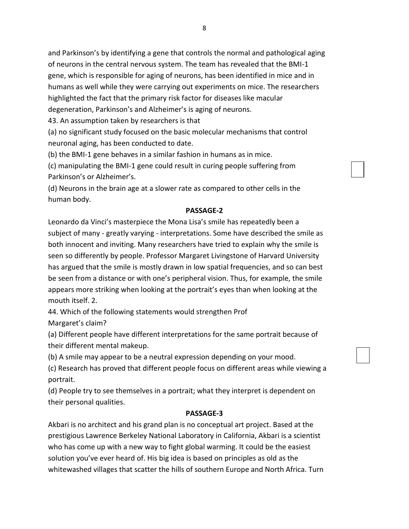and Parkinson's by identifying a gene that controls the normal and pathological aging of neurons in the central nervous system. The team has revealed that the BMI-1 gene, which is responsible for aging of neurons, has been identified in mice and in humans as well while they were carrying out experiments on mice. The researchers highlighted the fact that the primary risk factor for diseases like macular degeneration, Parkinson's and Alzheimer's is aging of neurons.

43. An assumption taken by researchers is that

(a) no significant study focused on the basic molecular mechanisms that control neuronal aging, has been conducted to date.

(b) the BMI-1 gene behaves in a similar fashion in humans as in mice.

(c) manipulating the BMI-1 gene could result in curing people suffering from Parkinson's or Alzheimer's.

(d) Neurons in the brain age at a slower rate as compared to other cells in the human body.

### **PASSAGE-2**

Leonardo da Vinci's masterpiece the Mona Lisa's smile has repeatedly been a subject of many - greatly varying - interpretations. Some have described the smile as both innocent and inviting. Many researchers have tried to explain why the smile is seen so differently by people. Professor Margaret Livingstone of Harvard University has argued that the smile is mostly drawn in low spatial frequencies, and so can best be seen from a distance or with one's peripheral vision. Thus, for example, the smile appears more striking when looking at the portrait's eyes than when looking at the mouth itself. 2.

44. Which of the following statements would strengthen Prof Margaret's claim?

(a) Different people have different interpretations for the same portrait because of their different mental makeup.

(b) A smile may appear to be a neutral expression depending on your mood.

(c) Research has proved that different people focus on different areas while viewing a portrait.

(d) People try to see themselves in a portrait; what they interpret is dependent on their personal qualities.

### **PASSAGE-3**

Akbari is no architect and his grand plan is no conceptual art project. Based at the prestigious Lawrence Berkeley National Laboratory in California, Akbari is a scientist who has come up with a new way to fight global warming. It could be the easiest solution you've ever heard of. His big idea is based on principles as old as the whitewashed villages that scatter the hills of southern Europe and North Africa. Turn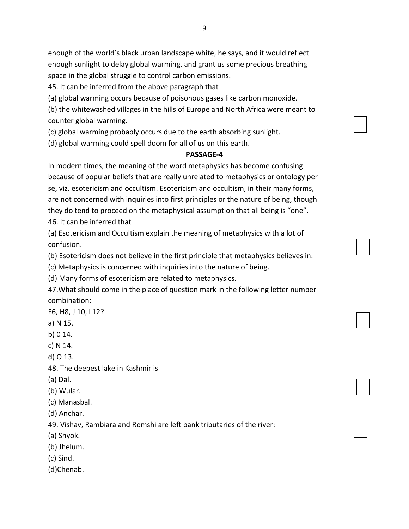enough of the world's black urban landscape white, he says, and it would reflect enough sunlight to delay global warming, and grant us some precious breathing space in the global struggle to control carbon emissions.

45. It can be inferred from the above paragraph that

(a) global warming occurs because of poisonous gases like carbon monoxide.

(b) the whitewashed villages in the hills of Europe and North Africa were meant to counter global warming.

(c) global warming probably occurs due to the earth absorbing sunlight.

(d) global warming could spell doom for all of us on this earth.

#### **PASSAGE-4**

In modern times, the meaning of the word metaphysics has become confusing because of popular beliefs that are really unrelated to metaphysics or ontology per se, viz. esotericism and occultism. Esotericism and occultism, in their many forms, are not concerned with inquiries into first principles or the nature of being, though they do tend to proceed on the metaphysical assumption that all being is "one". 46. It can be inferred that

(a) Esotericism and Occultism explain the meaning of metaphysics with a lot of confusion.

(b) Esotericism does not believe in the first principle that metaphysics believes in.

(c) Metaphysics is concerned with inquiries into the nature of being.

(d) Many forms of esotericism are related to metaphysics.

47.What should come in the place of question mark in the following letter number combination:

F6, H8, J 10, L12?

a) N 15.

b) 0 14.

c) N 14.

d) O 13.

48. The deepest lake in Kashmir is

(a) Dal.

(b) Wular.

(c) Manasbal.

(d) Anchar.

49. Vishav, Rambiara and Romshi are left bank tributaries of the river:

(a) Shyok.

(b) Jhelum.

(c) Sind.

(d)Chenab.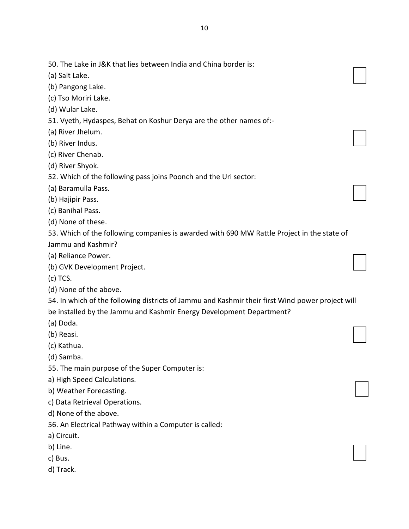50. The Lake in J&K that lies between India and China border is: (a) Salt Lake. (b) Pangong Lake. (c) Tso Moriri Lake. (d) Wular Lake. 51. Vyeth, Hydaspes, Behat on Koshur Derya are the other names of:- (a) River Jhelum.

- (b) River Indus.
- (c) River Chenab.
- (d) River Shyok.
- 52. Which of the following pass joins Poonch and the Uri sector:
- (a) Baramulla Pass.
- (b) Hajipir Pass.
- (c) Banihal Pass.
- (d) None of these.

53. Which of the following companies is awarded with 690 MW Rattle Project in the state of Jammu and Kashmir?

- (a) Reliance Power.
- (b) GVK Development Project.
- (c) TCS.
- (d) None of the above.

54. In which of the following districts of Jammu and Kashmir their first Wind power project will be installed by the Jammu and Kashmir Energy Development Department?

- (a) Doda.
- (b) Reasi.
- (c) Kathua.
- (d) Samba.
- 55. The main purpose of the Super Computer is:
- a) High Speed Calculations.
- b) Weather Forecasting.
- c) Data Retrieval Operations.
- d) None of the above.
- 56. An Electrical Pathway within a Computer is called:
- a) Circuit.
- b) Line.
- c) Bus.
- d) Track.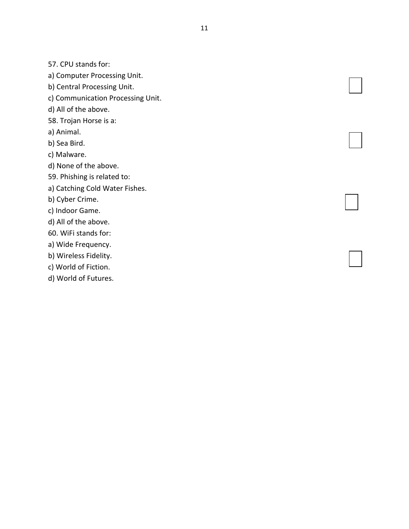57. CPU stands for:

a) Computer Processing Unit.

b) Central Processing Unit.

c) Communication Processing Unit.

d) All of the above.

58. Trojan Horse is a:

a) Animal.

b) Sea Bird.

c) Malware.

d) None of the above.

59. Phishing is related to:

a) Catching Cold Water Fishes.

b) Cyber Crime.

c) Indoor Game.

d) All of the above.

60. WiFi stands for:

a) Wide Frequency.

b) Wireless Fidelity.

c) World of Fiction.

d) World of Futures.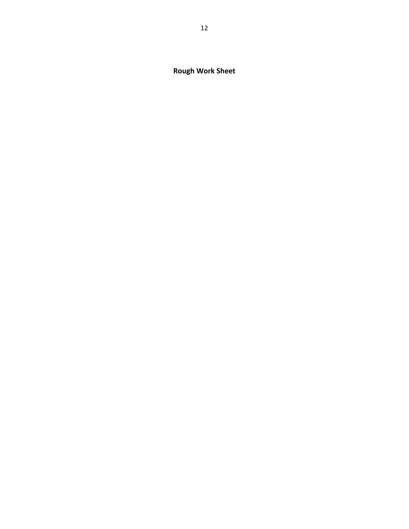**Rough Work Sheet**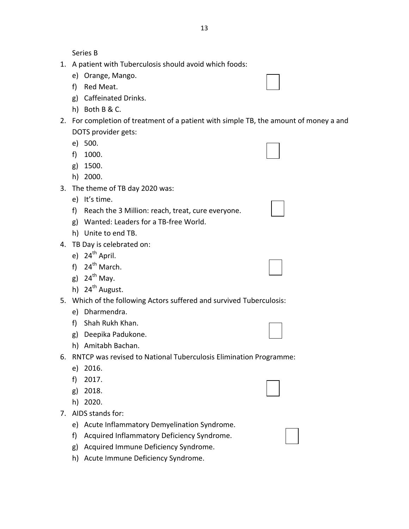Series B

- 1. A patient with Tuberculosis should avoid which foods:
	- e) Orange, Mango.
	- f) Red Meat.
	- g) Caffeinated Drinks.
	- h) Both B & C.
- 2. For completion of treatment of a patient with simple TB, the amount of money a and DOTS provider gets:
	- e) 500.
	- f) 1000.
	- g) 1500.
	- h) 2000.
- 3. The theme of TB day 2020 was:
	- e) It's time.
	- f) Reach the 3 Million: reach, treat, cure everyone.
	- g) Wanted: Leaders for a TB-free World.
	- h) Unite to end TB.
- 4. TB Day is celebrated on:
	- e)  $24<sup>th</sup>$  April.
	- f)  $24^{th}$  March.
	- g)  $24^{th}$  May.
	- h)  $24^{th}$  August.
- 5. Which of the following Actors suffered and survived Tuberculosis:
	- e) Dharmendra.
	- f) Shah Rukh Khan.
	- g) Deepika Padukone.
	- h) Amitabh Bachan.
- 6. RNTCP was revised to National Tuberculosis Elimination Programme:
	- e) 2016.
	- f) 2017.
	- g) 2018.
	- h) 2020.
- 7. AIDS stands for:
	- e) Acute Inflammatory Demyelination Syndrome.
	- f) Acquired Inflammatory Deficiency Syndrome.
	- g) Acquired Immune Deficiency Syndrome.
	- h) Acute Immune Deficiency Syndrome.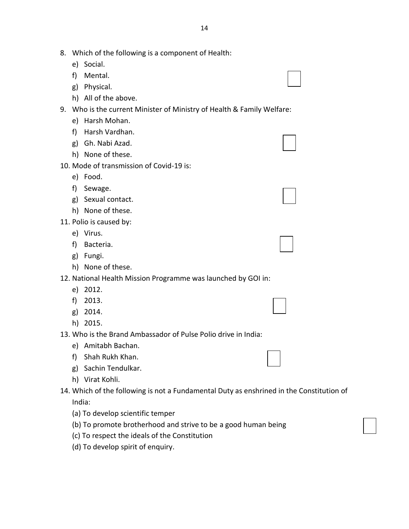- 8. Which of the following is a component of Health:
	- e) Social.
	- f) Mental.
	- g) Physical.
	- h) All of the above.

## 9. Who is the current Minister of Ministry of Health & Family Welfare:

- e) Harsh Mohan.
- f) Harsh Vardhan.
- g) Gh. Nabi Azad.
- h) None of these.
- 10. Mode of transmission of Covid-19 is:
	- e) Food.
	- f) Sewage.
	- g) Sexual contact.
	- h) None of these.
- 11. Polio is caused by:
	- e) Virus.
	- f) Bacteria.
	- g) Fungi.
	- h) None of these.

#### 12. National Health Mission Programme was launched by GOI in:

- e) 2012.
- f) 2013.
- g) 2014.
- h) 2015.
- 13. Who is the Brand Ambassador of Pulse Polio drive in India:
	- e) Amitabh Bachan.
	- f) Shah Rukh Khan.
	- g) Sachin Tendulkar.
	- h) Virat Kohli.
- 14. Which of the following is not a Fundamental Duty as enshrined in the Constitution of
	- India:
	- (a) To develop scientific temper
	- (b) To promote brotherhood and strive to be a good human being
	- (c) To respect the ideals of the Constitution
	- (d) To develop spirit of enquiry.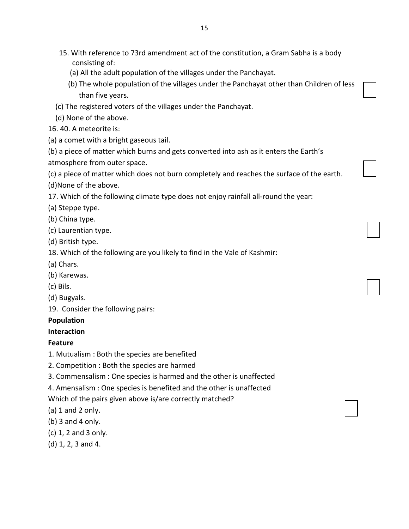- 15. With reference to 73rd amendment act of the constitution, a Gram Sabha is a body consisting of:
	- (a) All the adult population of the villages under the Panchayat.
	- (b) The whole population of the villages under the Panchayat other than Children of less than five years.
- (c) The registered voters of the villages under the Panchayat.
- (d) None of the above.
- 16. 40. A meteorite is:
- (a) a comet with a bright gaseous tail.
- (b) a piece of matter which burns and gets converted into ash as it enters the Earth's
- atmosphere from outer space.

(c) a piece of matter which does not burn completely and reaches the surface of the earth. (d)None of the above.

17. Which of the following climate type does not enjoy rainfall all-round the year:

(a) Steppe type.

- (b) China type.
- (c) Laurentian type.
- (d) British type.
- 18. Which of the following are you likely to find in the Vale of Kashmir:
- (a) Chars.
- (b) Karewas.
- (c) Bils.
- (d) Bugyals.

19. Consider the following pairs:

## **Population**

## **Interaction**

## **Feature**

- 1. Mutualism : Both the species are benefited
- 2. Competition : Both the species are harmed
- 3. Commensalism : One species is harmed and the other is unaffected
- 4. Amensalism : One species is benefited and the other is unaffected

Which of the pairs given above is/are correctly matched?

(a) 1 and 2 only.

- (b) 3 and 4 only.
- (c) 1, 2 and 3 only.
- (d) 1, 2, 3 and 4.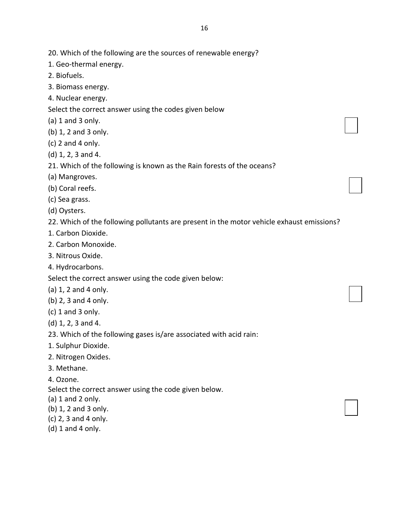- 1. Geo-thermal energy.
- 2. Biofuels.
- 3. Biomass energy.
- 4. Nuclear energy.
- Select the correct answer using the codes given below
- (a) 1 and 3 only.
- (b) 1, 2 and 3 only.
- (c) 2 and 4 only.
- (d) 1, 2, 3 and 4.
- 21. Which of the following is known as the Rain forests of the oceans?
- (a) Mangroves.
- (b) Coral reefs.
- (c) Sea grass.
- (d) Oysters.
- 22. Which of the following pollutants are present in the motor vehicle exhaust emissions?
- 1. Carbon Dioxide.
- 2. Carbon Monoxide.
- 3. Nitrous Oxide.
- 4. Hydrocarbons.

Select the correct answer using the code given below:

- (a) 1, 2 and 4 only.
- (b) 2, 3 and 4 only.
- (c) 1 and 3 only.
- (d) 1, 2, 3 and 4.
- 23. Which of the following gases is/are associated with acid rain:
- 1. Sulphur Dioxide.
- 2. Nitrogen Oxides.
- 3. Methane.
- 4. Ozone.

Select the correct answer using the code given below.

- $(a)$  1 and 2 only.
- (b) 1, 2 and 3 only.
- (c) 2, 3 and 4 only.
- (d) 1 and 4 only.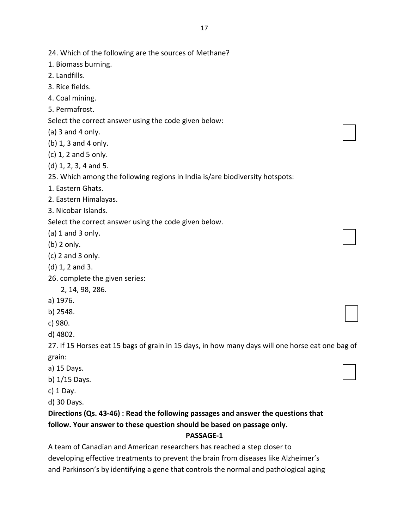| 24. Which of the following are the sources of Methane?                       |  |
|------------------------------------------------------------------------------|--|
| 1. Biomass burning.                                                          |  |
| 2. Landfills.                                                                |  |
| 3. Rice fields.                                                              |  |
| 4. Coal mining.                                                              |  |
| 5. Permafrost.                                                               |  |
| Select the correct answer using the code given below:                        |  |
| (a) $3$ and $4$ only.                                                        |  |
| (b) 1, 3 and 4 only.                                                         |  |
| (c) 1, 2 and 5 only.                                                         |  |
| (d) 1, 2, 3, 4 and 5.                                                        |  |
| 25. Which among the following regions in India is/are biodiversity hotspots: |  |
| 1. Eastern Ghats.                                                            |  |
| 2. Eastern Himalayas.                                                        |  |
| 3. Nicobar Islands.                                                          |  |
| Select the correct answer using the code given below.                        |  |
| (a) $1$ and $3$ only.                                                        |  |
| (b) 2 only.                                                                  |  |
| $(c)$ 2 and 3 only.                                                          |  |
| (d) 1, 2 and 3.                                                              |  |
| 26. complete the given series:                                               |  |
| 2, 14, 98, 286.                                                              |  |
| a) 1976.                                                                     |  |
| b) 2548.                                                                     |  |

c) 980.

d) 4802.

27. If 15 Horses eat 15 bags of grain in 15 days, in how many days will one horse eat one bag of grain:

- a) 15 Days.
- b) 1/15 Days.

c) 1 Day.

d) 30 Days.

# **Directions (Qs. 43-46) : Read the following passages and answer the questions that follow. Your answer to these question should be based on passage only.**

#### **PASSAGE-1**

A team of Canadian and American researchers has reached a step closer to developing effective treatments to prevent the brain from diseases like Alzheimer's and Parkinson's by identifying a gene that controls the normal and pathological aging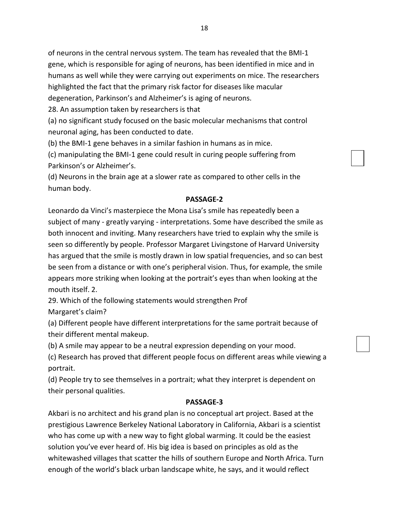of neurons in the central nervous system. The team has revealed that the BMI-1 gene, which is responsible for aging of neurons, has been identified in mice and in humans as well while they were carrying out experiments on mice. The researchers highlighted the fact that the primary risk factor for diseases like macular degeneration, Parkinson's and Alzheimer's is aging of neurons.

28. An assumption taken by researchers is that

(a) no significant study focused on the basic molecular mechanisms that control neuronal aging, has been conducted to date.

(b) the BMI-1 gene behaves in a similar fashion in humans as in mice.

(c) manipulating the BMI-1 gene could result in curing people suffering from Parkinson's or Alzheimer's.

(d) Neurons in the brain age at a slower rate as compared to other cells in the human body.

## **PASSAGE-2**

Leonardo da Vinci's masterpiece the Mona Lisa's smile has repeatedly been a subject of many - greatly varying - interpretations. Some have described the smile as both innocent and inviting. Many researchers have tried to explain why the smile is seen so differently by people. Professor Margaret Livingstone of Harvard University has argued that the smile is mostly drawn in low spatial frequencies, and so can best be seen from a distance or with one's peripheral vision. Thus, for example, the smile appears more striking when looking at the portrait's eyes than when looking at the mouth itself. 2.

29. Which of the following statements would strengthen Prof

Margaret's claim?

(a) Different people have different interpretations for the same portrait because of their different mental makeup.

(b) A smile may appear to be a neutral expression depending on your mood.

(c) Research has proved that different people focus on different areas while viewing a portrait.

(d) People try to see themselves in a portrait; what they interpret is dependent on their personal qualities.

## **PASSAGE-3**

Akbari is no architect and his grand plan is no conceptual art project. Based at the prestigious Lawrence Berkeley National Laboratory in California, Akbari is a scientist who has come up with a new way to fight global warming. It could be the easiest solution you've ever heard of. His big idea is based on principles as old as the whitewashed villages that scatter the hills of southern Europe and North Africa. Turn enough of the world's black urban landscape white, he says, and it would reflect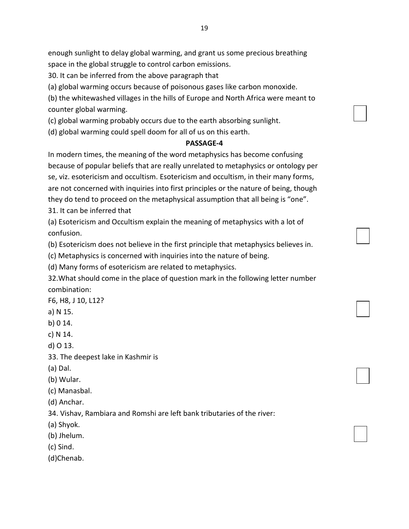enough sunlight to delay global warming, and grant us some precious breathing space in the global struggle to control carbon emissions.

30. It can be inferred from the above paragraph that

(a) global warming occurs because of poisonous gases like carbon monoxide.

(b) the whitewashed villages in the hills of Europe and North Africa were meant to counter global warming.

(c) global warming probably occurs due to the earth absorbing sunlight.

(d) global warming could spell doom for all of us on this earth.

# **PASSAGE-4**

In modern times, the meaning of the word metaphysics has become confusing because of popular beliefs that are really unrelated to metaphysics or ontology per se, viz. esotericism and occultism. Esotericism and occultism, in their many forms, are not concerned with inquiries into first principles or the nature of being, though they do tend to proceed on the metaphysical assumption that all being is "one".

31. It can be inferred that

(a) Esotericism and Occultism explain the meaning of metaphysics with a lot of confusion.

(b) Esotericism does not believe in the first principle that metaphysics believes in.

(c) Metaphysics is concerned with inquiries into the nature of being.

(d) Many forms of esotericism are related to metaphysics.

32.What should come in the place of question mark in the following letter number combination:

F6, H8, J 10, L12?

a) N 15.

b) 0 14.

c) N 14.

d) O 13.

33. The deepest lake in Kashmir is

(a) Dal.

(b) Wular.

(c) Manasbal.

(d) Anchar.

34. Vishav, Rambiara and Romshi are left bank tributaries of the river:

(a) Shyok.

(b) Jhelum.

(c) Sind.

(d)Chenab.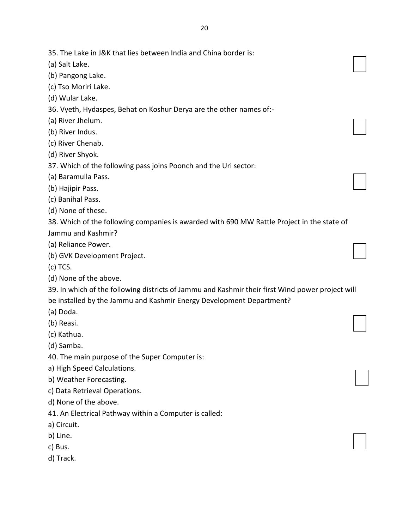- (b) Pangong Lake.
- (c) Tso Moriri Lake.
- (d) Wular Lake.

(a) Salt Lake.

- 36. Vyeth, Hydaspes, Behat on Koshur Derya are the other names of:-
- (a) River Jhelum.
- (b) River Indus.
- (c) River Chenab.
- (d) River Shyok.
- 37. Which of the following pass joins Poonch and the Uri sector:
- (a) Baramulla Pass.
- (b) Hajipir Pass.
- (c) Banihal Pass.
- (d) None of these.
- 38. Which of the following companies is awarded with 690 MW Rattle Project in the state of Jammu and Kashmir?
- (a) Reliance Power.
- (b) GVK Development Project.
- (c) TCS.
- (d) None of the above.

39. In which of the following districts of Jammu and Kashmir their first Wind power project will be installed by the Jammu and Kashmir Energy Development Department?

- (a) Doda.
- (b) Reasi.
- (c) Kathua.
- (d) Samba.
- 40. The main purpose of the Super Computer is:
- a) High Speed Calculations.
- b) Weather Forecasting.
- c) Data Retrieval Operations.
- d) None of the above.
- 41. An Electrical Pathway within a Computer is called:
- a) Circuit.
- b) Line.
- c) Bus.
- d) Track.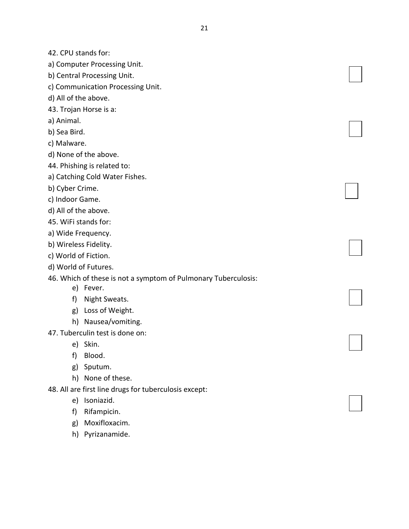42. CPU stands for:

a) Computer Processing Unit.

- b) Central Processing Unit.
- c) Communication Processing Unit.

d) All of the above.

43. Trojan Horse is a:

a) Animal.

b) Sea Bird.

c) Malware.

d) None of the above.

44. Phishing is related to:

- a) Catching Cold Water Fishes.
- b) Cyber Crime.
- c) Indoor Game.
- d) All of the above.
- 45. WiFi stands for:
- a) Wide Frequency.
- b) Wireless Fidelity.
- c) World of Fiction.
- d) World of Futures.

46. Which of these is not a symptom of Pulmonary Tuberculosis:

- e) Fever.
- f) Night Sweats.
- g) Loss of Weight.
- h) Nausea/vomiting.
- 47. Tuberculin test is done on:
	- e) Skin.
	- f) Blood.
	- g) Sputum.
	- h) None of these.

48. All are first line drugs for tuberculosis except:

- e) Isoniazid.
- f) Rifampicin.
- g) Moxifloxacim.
- h) Pyrizanamide.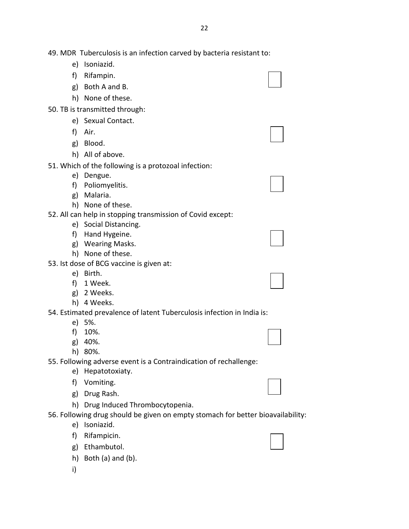49. MDR Tuberculosis is an infection carved by bacteria resistant to:

- e) Isoniazid.
- f) Rifampin.
- g) Both A and B.
- h) None of these.
- 50. TB is transmitted through:
	- e) Sexual Contact.
	- f) Air.
	- g) Blood.
	- h) All of above.

51. Which of the following is a protozoal infection:

- e) Dengue.
- f) Poliomyelitis.
- g) Malaria.
- h) None of these.

52. All can help in stopping transmission of Covid except:

- e) Social Distancing.
- f) Hand Hygeine.
- g) Wearing Masks.
- h) None of these.
- 53. Ist dose of BCG vaccine is given at:
	- e) Birth.
	- f) 1 Week.
	- g) 2 Weeks.
	- h) 4 Weeks.

54. Estimated prevalence of latent Tuberculosis infection in India is:

- e) 5%.
- f) 10%.
- g) 40%.
- h) 80%.

55. Following adverse event is a Contraindication of rechallenge:

- e) Hepatotoxiaty.
- f) Vomiting.
- g) Drug Rash.
- h) Drug Induced Thrombocytopenia.

56. Following drug should be given on empty stomach for better bioavailability:

- e) Isoniazid.
- f) Rifampicin.
- g) Ethambutol.
- h) Both (a) and (b).
- i)

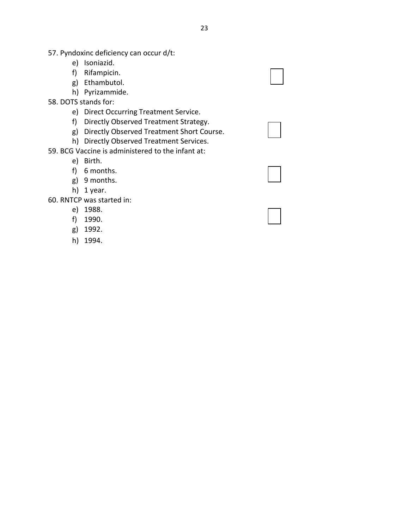- 57. Pyndoxinc deficiency can occur d/t:
	- e) Isoniazid.
	- f) Rifampicin.
	- g) Ethambutol.
	- h) Pyrizammide.
- 58. DOTS stands for:
	- e) Direct Occurring Treatment Service.
	- f) Directly Observed Treatment Strategy.
	- g) Directly Observed Treatment Short Course.
	- h) Directly Observed Treatment Services.
- 59. BCG Vaccine is administered to the infant at:
	- e) Birth.
	- f) 6 months.
	- g) 9 months.
	- h) 1 year.

60. RNTCP was started in:

- e) 1988.
- f) 1990.
- g) 1992.
- h) 1994.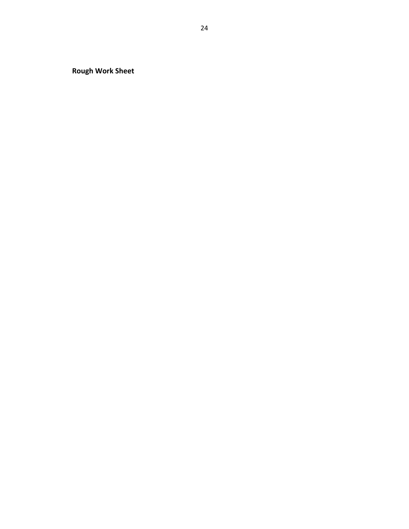**Rough Work Sheet**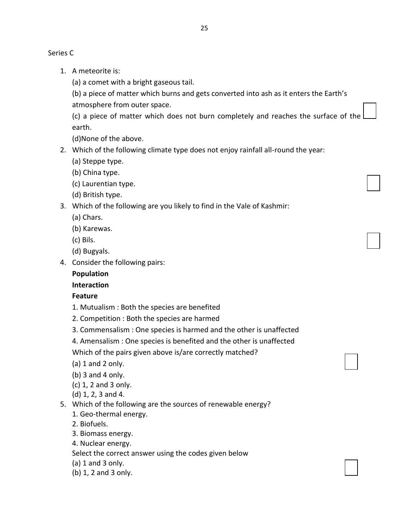Series C

1. A meteorite is:

(a) a comet with a bright gaseous tail.

(b) a piece of matter which burns and gets converted into ash as it enters the Earth's atmosphere from outer space.

(c) a piece of matter which does not burn completely and reaches the surface of the earth.

(d)None of the above.

- 2. Which of the following climate type does not enjoy rainfall all-round the year:
	- (a) Steppe type.
	- (b) China type.
	- (c) Laurentian type.
	- (d) British type.
- 3. Which of the following are you likely to find in the Vale of Kashmir:
	- (a) Chars.
	- (b) Karewas.
	- (c) Bils.
	- (d) Bugyals.
- 4. Consider the following pairs:

## **Population**

# **Interaction**

# **Feature**

- 1. Mutualism : Both the species are benefited
- 2. Competition : Both the species are harmed
- 3. Commensalism : One species is harmed and the other is unaffected
- 4. Amensalism : One species is benefited and the other is unaffected
- Which of the pairs given above is/are correctly matched?
- (a) 1 and 2 only.
- (b) 3 and 4 only.
- (c) 1, 2 and 3 only.

(d) 1, 2, 3 and 4.

- 5. Which of the following are the sources of renewable energy?
	- 1. Geo-thermal energy.
	- 2. Biofuels.
	- 3. Biomass energy.
	- 4. Nuclear energy.

Select the correct answer using the codes given below

- (a) 1 and 3 only.
- (b) 1, 2 and 3 only.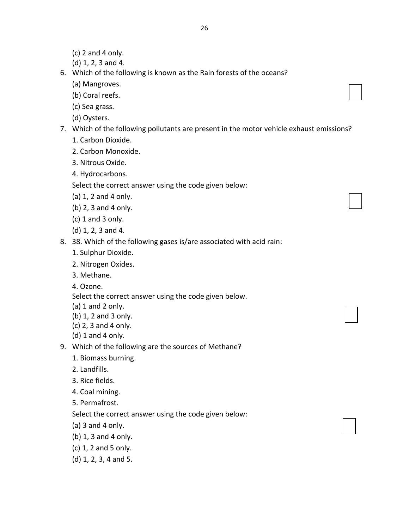- $(c)$  2 and 4 only.
- (d) 1, 2, 3 and 4.
- 6. Which of the following is known as the Rain forests of the oceans?
	- (a) Mangroves.
	- (b) Coral reefs.
	- (c) Sea grass.
	- (d) Oysters.
- 7. Which of the following pollutants are present in the motor vehicle exhaust emissions?
	- 1. Carbon Dioxide.
	- 2. Carbon Monoxide.
	- 3. Nitrous Oxide.
	- 4. Hydrocarbons.

Select the correct answer using the code given below:

- (a) 1, 2 and 4 only.
- (b) 2, 3 and 4 only.
- (c) 1 and 3 only.
- (d) 1, 2, 3 and 4.
- 8. 38. Which of the following gases is/are associated with acid rain:
	- 1. Sulphur Dioxide.
	- 2. Nitrogen Oxides.
	- 3. Methane.
	- 4. Ozone.

Select the correct answer using the code given below.

- (a) 1 and 2 only.
- (b) 1, 2 and 3 only.
- (c) 2, 3 and 4 only.
- $(d)$  1 and 4 only.
- 9. Which of the following are the sources of Methane?
	- 1. Biomass burning.
	- 2. Landfills.
	- 3. Rice fields.
	- 4. Coal mining.
	- 5. Permafrost.

Select the correct answer using the code given below:

- (a) 3 and 4 only.
- (b) 1, 3 and 4 only.
- (c) 1, 2 and 5 only.
- (d) 1, 2, 3, 4 and 5.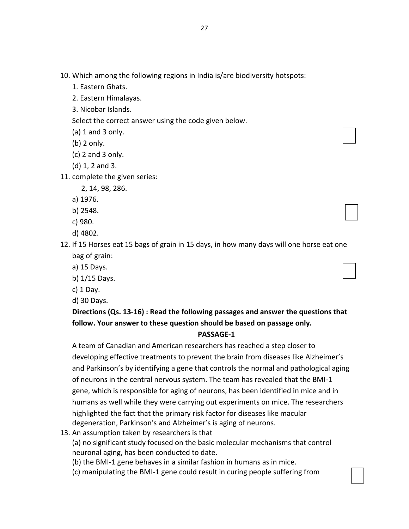- 10. Which among the following regions in India is/are biodiversity hotspots:
	- 1. Eastern Ghats.
	- 2. Eastern Himalayas.
	- 3. Nicobar Islands.
	- Select the correct answer using the code given below.
	- $(a)$  1 and 3 only.
	- (b) 2 only.
	- (c) 2 and 3 only.
	- (d) 1, 2 and 3.
- 11. complete the given series:
	- 2, 14, 98, 286.
	- a) 1976.
	- b) 2548.
	- c) 980.
	- d) 4802.
- 12. If 15 Horses eat 15 bags of grain in 15 days, in how many days will one horse eat one bag of grain:
	- a) 15 Days.
	- b) 1/15 Days.
	- c) 1 Day.
	- d) 30 Days.

# **Directions (Qs. 13-16) : Read the following passages and answer the questions that follow. Your answer to these question should be based on passage only.**

### **PASSAGE-1**

A team of Canadian and American researchers has reached a step closer to developing effective treatments to prevent the brain from diseases like Alzheimer's and Parkinson's by identifying a gene that controls the normal and pathological aging of neurons in the central nervous system. The team has revealed that the BMI-1 gene, which is responsible for aging of neurons, has been identified in mice and in humans as well while they were carrying out experiments on mice. The researchers highlighted the fact that the primary risk factor for diseases like macular degeneration, Parkinson's and Alzheimer's is aging of neurons.

13. An assumption taken by researchers is that

(a) no significant study focused on the basic molecular mechanisms that control neuronal aging, has been conducted to date.

- (b) the BMI-1 gene behaves in a similar fashion in humans as in mice.
- (c) manipulating the BMI-1 gene could result in curing people suffering from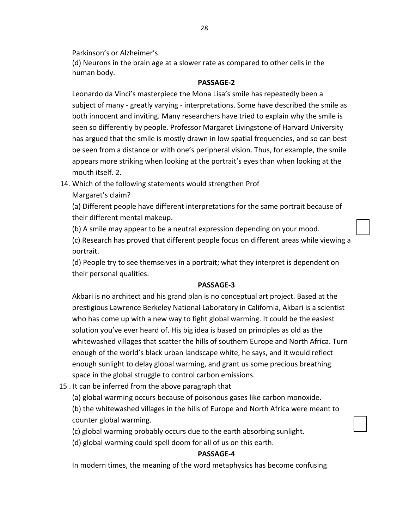Parkinson's or Alzheimer's.

(d) Neurons in the brain age at a slower rate as compared to other cells in the human body.

## **PASSAGE-2**

Leonardo da Vinci's masterpiece the Mona Lisa's smile has repeatedly been a subject of many - greatly varying - interpretations. Some have described the smile as both innocent and inviting. Many researchers have tried to explain why the smile is seen so differently by people. Professor Margaret Livingstone of Harvard University has argued that the smile is mostly drawn in low spatial frequencies, and so can best be seen from a distance or with one's peripheral vision. Thus, for example, the smile appears more striking when looking at the portrait's eyes than when looking at the mouth itself. 2.

- 14. Which of the following statements would strengthen Prof
	- Margaret's claim?

(a) Different people have different interpretations for the same portrait because of their different mental makeup.

(b) A smile may appear to be a neutral expression depending on your mood.

(c) Research has proved that different people focus on different areas while viewing a portrait.

(d) People try to see themselves in a portrait; what they interpret is dependent on their personal qualities.

## **PASSAGE-3**

Akbari is no architect and his grand plan is no conceptual art project. Based at the prestigious Lawrence Berkeley National Laboratory in California, Akbari is a scientist who has come up with a new way to fight global warming. It could be the easiest solution you've ever heard of. His big idea is based on principles as old as the whitewashed villages that scatter the hills of southern Europe and North Africa. Turn enough of the world's black urban landscape white, he says, and it would reflect enough sunlight to delay global warming, and grant us some precious breathing space in the global struggle to control carbon emissions.

- 15 . It can be inferred from the above paragraph that
	- (a) global warming occurs because of poisonous gases like carbon monoxide.

(b) the whitewashed villages in the hills of Europe and North Africa were meant to counter global warming.

- (c) global warming probably occurs due to the earth absorbing sunlight.
- (d) global warming could spell doom for all of us on this earth.

# **PASSAGE-4**

In modern times, the meaning of the word metaphysics has become confusing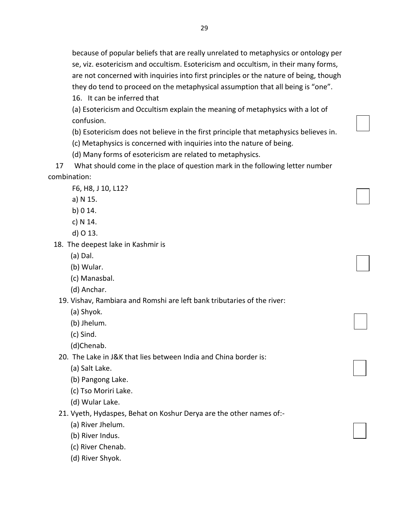because of popular beliefs that are really unrelated to metaphysics or ontology per se, viz. esotericism and occultism. Esotericism and occultism, in their many forms, are not concerned with inquiries into first principles or the nature of being, though they do tend to proceed on the metaphysical assumption that all being is "one". 16. It can be inferred that

(a) Esotericism and Occultism explain the meaning of metaphysics with a lot of confusion.

(b) Esotericism does not believe in the first principle that metaphysics believes in.

(c) Metaphysics is concerned with inquiries into the nature of being.

(d) Many forms of esotericism are related to metaphysics.

 17 What should come in the place of question mark in the following letter number combination:

F6, H8, J 10, L12?

- a) N 15.
- b) 0 14.
- c) N 14.
- d) O 13.
- 18. The deepest lake in Kashmir is
	- (a) Dal.
	- (b) Wular.
	- (c) Manasbal.
	- (d) Anchar.

19. Vishav, Rambiara and Romshi are left bank tributaries of the river:

- (a) Shyok.
- (b) Jhelum.
- (c) Sind.
- (d)Chenab.

20. The Lake in J&K that lies between India and China border is:

- (a) Salt Lake.
- (b) Pangong Lake.
- (c) Tso Moriri Lake.
- (d) Wular Lake.

21. Vyeth, Hydaspes, Behat on Koshur Derya are the other names of:-

- (a) River Jhelum.
- (b) River Indus.
- (c) River Chenab.
- (d) River Shyok.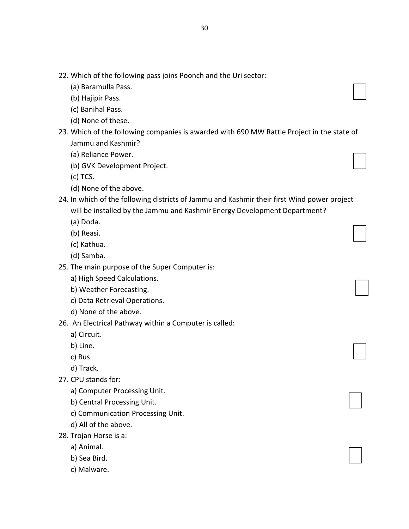- 22. Which of the following pass joins Poonch and the Uri sector:
	- (a) Baramulla Pass.
	- (b) Hajipir Pass.
	- (c) Banihal Pass.
	- (d) None of these.
- 23. Which of the following companies is awarded with 690 MW Rattle Project in the state of Jammu and Kashmir?
	- (a) Reliance Power.
	- (b) GVK Development Project.
	- (c) TCS.
	- (d) None of the above.
- 24. In which of the following districts of Jammu and Kashmir their first Wind power project will be installed by the Jammu and Kashmir Energy Development Department?
	- (a) Doda.
	- (b) Reasi.
	- (c) Kathua.
	- (d) Samba.
- 25. The main purpose of the Super Computer is:
	- a) High Speed Calculations.
	- b) Weather Forecasting.
	- c) Data Retrieval Operations.
	- d) None of the above.
- 26. An Electrical Pathway within a Computer is called:
	- a) Circuit.
	- b) Line.
	- c) Bus.
	- d) Track.
- 27. CPU stands for:
	- a) Computer Processing Unit.
	- b) Central Processing Unit.
	- c) Communication Processing Unit.
	- d) All of the above.
- 28. Trojan Horse is a:
	- a) Animal.
	- b) Sea Bird.
	- c) Malware.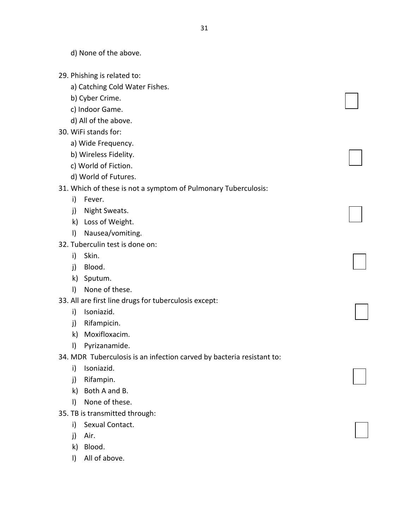d) None of the above.

- 29. Phishing is related to:
	- a) Catching Cold Water Fishes.
	- b) Cyber Crime.
	- c) Indoor Game.
	- d) All of the above.
- 30. WiFi stands for:
	- a) Wide Frequency.
	- b) Wireless Fidelity.
	- c) World of Fiction.
	- d) World of Futures.

#### 31. Which of these is not a symptom of Pulmonary Tuberculosis:

- i) Fever.
- j) Night Sweats.
- k) Loss of Weight.
- l) Nausea/vomiting.
- 32. Tuberculin test is done on:
	- i) Skin.
	- j) Blood.
	- k) Sputum.
	- l) None of these.
- 33. All are first line drugs for tuberculosis except:
	- i) Isoniazid.
	- j) Rifampicin.
	- k) Moxifloxacim.
	- l) Pyrizanamide.
- 34. MDR Tuberculosis is an infection carved by bacteria resistant to:
	- i) Isoniazid.
	- j) Rifampin.
	- k) Both A and B.
	- l) None of these.
- 35. TB is transmitted through:
	- i) Sexual Contact.
	- j) Air.
	- k) Blood.
	- l) All of above.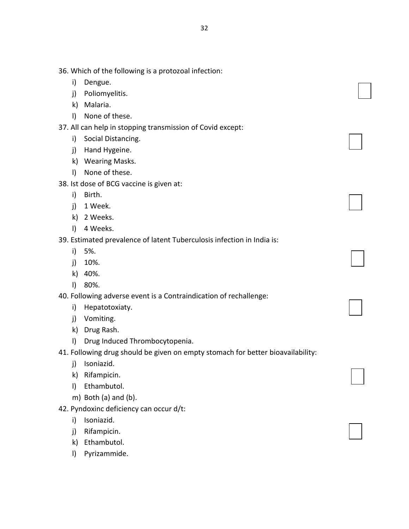- 36. Which of the following is a protozoal infection:
	- i) Dengue.
	- j) Poliomyelitis.
	- k) Malaria.
	- l) None of these.
- 37. All can help in stopping transmission of Covid except:
	- i) Social Distancing.
	- j) Hand Hygeine.
	- k) Wearing Masks.
	- l) None of these.
- 38. Ist dose of BCG vaccine is given at:
	- i) Birth.
	- j) 1 Week.
	- k) 2 Weeks.
	- l) 4 Weeks.

## 39. Estimated prevalence of latent Tuberculosis infection in India is:

- i) 5%.
- j) 10%.
- k) 40%.
- l) 80%.

40. Following adverse event is a Contraindication of rechallenge:

- i) Hepatotoxiaty.
- j) Vomiting.
- k) Drug Rash.
- l) Drug Induced Thrombocytopenia.
- 41. Following drug should be given on empty stomach for better bioavailability:
	- j) Isoniazid.
	- k) Rifampicin.
	- l) Ethambutol.
	- m) Both (a) and (b).
- 42. Pyndoxinc deficiency can occur d/t:
	- i) Isoniazid.
	- j) Rifampicin.
	- k) Ethambutol.
	- l) Pyrizammide.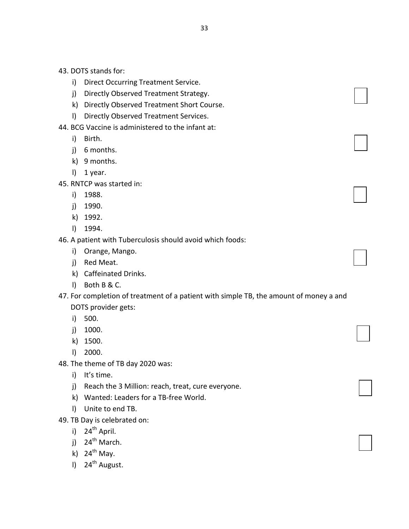- i) Direct Occurring Treatment Service.
- j) Directly Observed Treatment Strategy.
- k) Directly Observed Treatment Short Course.
- l) Directly Observed Treatment Services.
- 44. BCG Vaccine is administered to the infant at:
	- i) Birth.
	- j) 6 months.
	- k) 9 months.
	- l) 1 year.
- 45. RNTCP was started in:
	- i) 1988.
	- j) 1990.
	- k) 1992.
	- l) 1994.

# 46. A patient with Tuberculosis should avoid which foods:

- i) Orange, Mango.
- j) Red Meat.
- k) Caffeinated Drinks.
- l) Both B & C.

# 47. For completion of treatment of a patient with simple TB, the amount of money a and DOTS provider gets:

- i) 500.
- j) 1000.
- k) 1500.
- l) 2000.
- 48. The theme of TB day 2020 was:
	- i) It's time.
	- j) Reach the 3 Million: reach, treat, cure everyone.
	- k) Wanted: Leaders for a TB-free World.
	- l) Unite to end TB.
- 49. TB Day is celebrated on:
	- i)  $24^{th}$  April.
	- i)  $24^{th}$  March.
	- k)  $24^{th}$  May.
	- $1)$  24<sup>th</sup> August.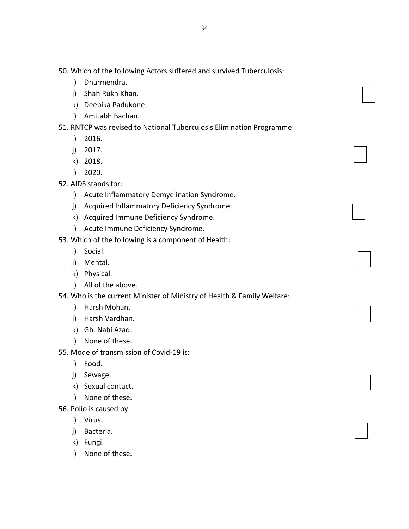- i) Dharmendra.
- j) Shah Rukh Khan.
- k) Deepika Padukone.
- l) Amitabh Bachan.
- 51. RNTCP was revised to National Tuberculosis Elimination Programme:
	- i) 2016.
	- j) 2017.
	- k) 2018.
	- l) 2020.
- 52. AIDS stands for:
	- i) Acute Inflammatory Demyelination Syndrome.
	- j) Acquired Inflammatory Deficiency Syndrome.
	- k) Acquired Immune Deficiency Syndrome.
	- l) Acute Immune Deficiency Syndrome.
- 53. Which of the following is a component of Health:
	- i) Social.
	- j) Mental.
	- k) Physical.
	- l) All of the above.
- 54. Who is the current Minister of Ministry of Health & Family Welfare:
	- i) Harsh Mohan.
	- j) Harsh Vardhan.
	- k) Gh. Nabi Azad.
	- l) None of these.
- 55. Mode of transmission of Covid-19 is:
	- i) Food.
	- j) Sewage.
	- k) Sexual contact.
	- l) None of these.
- 56. Polio is caused by:
	- i) Virus.
	- j) Bacteria.
	- k) Fungi.
	- l) None of these.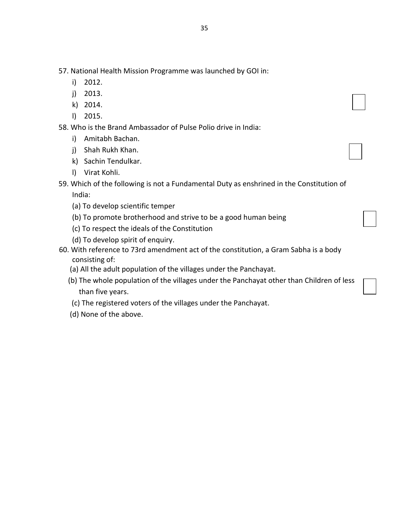57. National Health Mission Programme was launched by GOI in:

- i) 2012.
- j) 2013.
- k) 2014.
- l) 2015.

58. Who is the Brand Ambassador of Pulse Polio drive in India:

- i) Amitabh Bachan.
- j) Shah Rukh Khan.
- k) Sachin Tendulkar.
- l) Virat Kohli.
- 59. Which of the following is not a Fundamental Duty as enshrined in the Constitution of India:
	- (a) To develop scientific temper
	- (b) To promote brotherhood and strive to be a good human being
	- (c) To respect the ideals of the Constitution
	- (d) To develop spirit of enquiry.
- 60. With reference to 73rd amendment act of the constitution, a Gram Sabha is a body consisting of:
	- (a) All the adult population of the villages under the Panchayat.
	- (b) The whole population of the villages under the Panchayat other than Children of less than five years.
	- (c) The registered voters of the villages under the Panchayat.
	- (d) None of the above.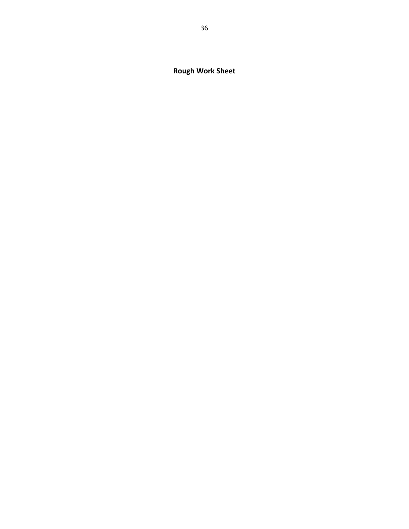**Rough Work Sheet**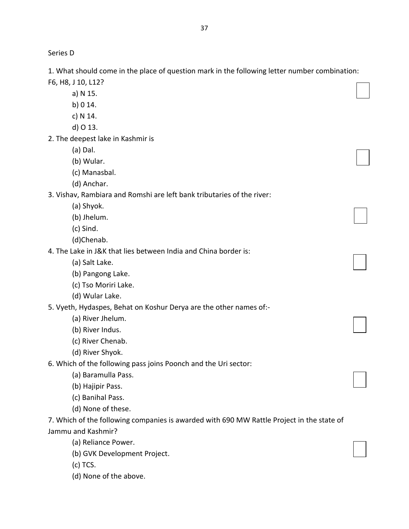Series D

1. What should come in the place of question mark in the following letter number combination: F6, H8, J 10, L12?

a) N 15. b) 0 14. c) N 14. d) O 13. 2. The deepest lake in Kashmir is (a) Dal. (b) Wular. (c) Manasbal. (d) Anchar. 3. Vishav, Rambiara and Romshi are left bank tributaries of the river: (a) Shyok. (b) Jhelum. (c) Sind. (d)Chenab. 4. The Lake in J&K that lies between India and China border is: (a) Salt Lake. (b) Pangong Lake. (c) Tso Moriri Lake. (d) Wular Lake. 5. Vyeth, Hydaspes, Behat on Koshur Derya are the other names of:- (a) River Jhelum.

(b) River Indus.

(c) River Chenab.

(d) River Shyok.

6. Which of the following pass joins Poonch and the Uri sector:

(a) Baramulla Pass.

(b) Hajipir Pass.

(c) Banihal Pass.

(d) None of these.

7. Which of the following companies is awarded with 690 MW Rattle Project in the state of Jammu and Kashmir?

(a) Reliance Power.

(b) GVK Development Project.

(c) TCS.

(d) None of the above.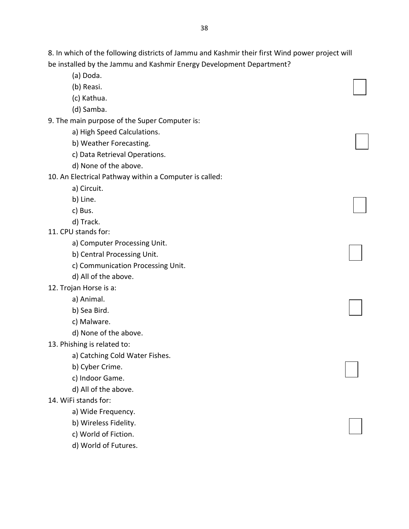8. In which of the following districts of Jammu and Kashmir their first Wind power project will be installed by the Jammu and Kashmir Energy Development Department?

(a) Doda.

(b) Reasi.

(c) Kathua.

(d) Samba.

9. The main purpose of the Super Computer is:

a) High Speed Calculations.

b) Weather Forecasting.

c) Data Retrieval Operations.

d) None of the above.

10. An Electrical Pathway within a Computer is called:

a) Circuit.

b) Line.

c) Bus.

d) Track.

11. CPU stands for:

a) Computer Processing Unit.

b) Central Processing Unit.

c) Communication Processing Unit.

d) All of the above.

12. Trojan Horse is a:

a) Animal.

b) Sea Bird.

c) Malware.

d) None of the above.

13. Phishing is related to:

a) Catching Cold Water Fishes.

b) Cyber Crime.

c) Indoor Game.

d) All of the above.

### 14. WiFi stands for:

a) Wide Frequency.

b) Wireless Fidelity.

c) World of Fiction.

d) World of Futures.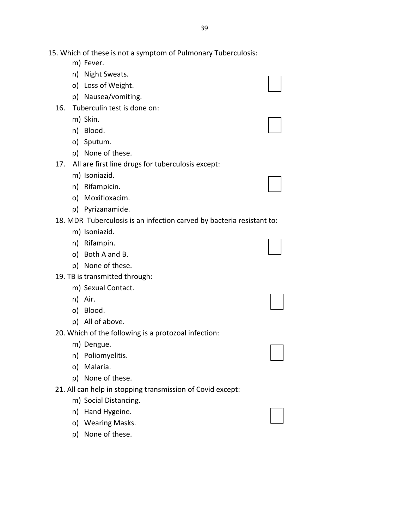15. Which of these is not a symptom of Pulmonary Tuberculosis:

- m) Fever.
- n) Night Sweats.
- o) Loss of Weight.
- p) Nausea/vomiting.
- 16. Tuberculin test is done on:
	- m) Skin.
	- n) Blood.
	- o) Sputum.
	- p) None of these.
- 17. All are first line drugs for tuberculosis except:
	- m) Isoniazid.
	- n) Rifampicin.
	- o) Moxifloxacim.
	- p) Pyrizanamide.

18. MDR Tuberculosis is an infection carved by bacteria resistant to:

- m) Isoniazid.
- n) Rifampin.
- o) Both A and B.
- p) None of these.
- 19. TB is transmitted through:
	- m) Sexual Contact.
	- n) Air.
	- o) Blood.
	- p) All of above.

20. Which of the following is a protozoal infection:

- m) Dengue.
- n) Poliomyelitis.
- o) Malaria.
- p) None of these.
- 21. All can help in stopping transmission of Covid except:
	- m) Social Distancing.
	- n) Hand Hygeine.
	- o) Wearing Masks.
	- p) None of these.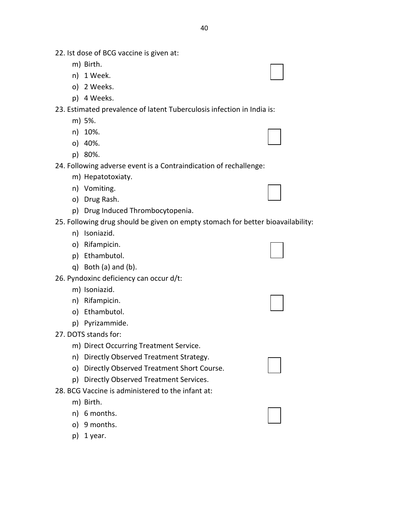- 22. Ist dose of BCG vaccine is given at:
	- m) Birth.
	- n) 1 Week.
	- o) 2 Weeks.
	- p) 4 Weeks.

### 23. Estimated prevalence of latent Tuberculosis infection in India is:

- m) 5%.
- n) 10%.
- o) 40%.
- p) 80%.

#### 24. Following adverse event is a Contraindication of rechallenge:

- m) Hepatotoxiaty.
- n) Vomiting.
- o) Drug Rash.
- p) Drug Induced Thrombocytopenia.

#### 25. Following drug should be given on empty stomach for better bioavailability:

- n) Isoniazid.
- o) Rifampicin.
- p) Ethambutol.
- q) Both (a) and (b).

#### 26. Pyndoxinc deficiency can occur d/t:

- m) Isoniazid.
- n) Rifampicin.
- o) Ethambutol.
- p) Pyrizammide.
- 27. DOTS stands for:
	- m) Direct Occurring Treatment Service.
	- n) Directly Observed Treatment Strategy.
	- o) Directly Observed Treatment Short Course.
	- p) Directly Observed Treatment Services.
- 28. BCG Vaccine is administered to the infant at:
	- m) Birth.
	- n) 6 months.
	- o) 9 months.
	- p) 1 year.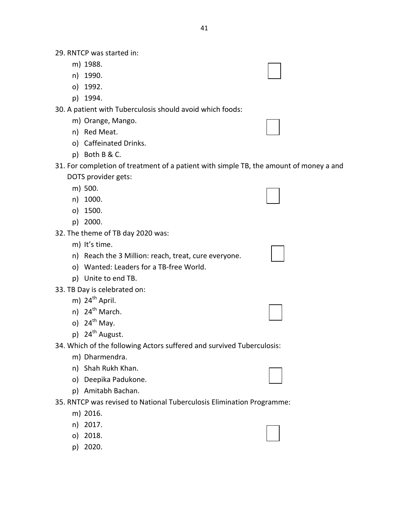29. RNTCP was started in:

- m) 1988.
- n) 1990.
- o) 1992.
- p) 1994.

30. A patient with Tuberculosis should avoid which foods:

- m) Orange, Mango.
- n) Red Meat.
- o) Caffeinated Drinks.
- p) Both B & C.
- 31. For completion of treatment of a patient with simple TB, the amount of money a and DOTS provider gets:
	- m) 500.
	- n) 1000.
	- o) 1500.
	- p) 2000.
- 32. The theme of TB day 2020 was:
	- m) It's time.
	- n) Reach the 3 Million: reach, treat, cure everyone.
	- o) Wanted: Leaders for a TB-free World.
	- p) Unite to end TB.
- 33. TB Day is celebrated on:
	- m)  $24<sup>th</sup>$  April.
	- n)  $24^{th}$  March.
	- o)  $24^{th}$  May.
	- p)  $24^{th}$  August.

34. Which of the following Actors suffered and survived Tuberculosis:

- m) Dharmendra.
- n) Shah Rukh Khan.
- o) Deepika Padukone.
- p) Amitabh Bachan.

35. RNTCP was revised to National Tuberculosis Elimination Programme:

- m) 2016.
- n) 2017.
- o) 2018.
- p) 2020.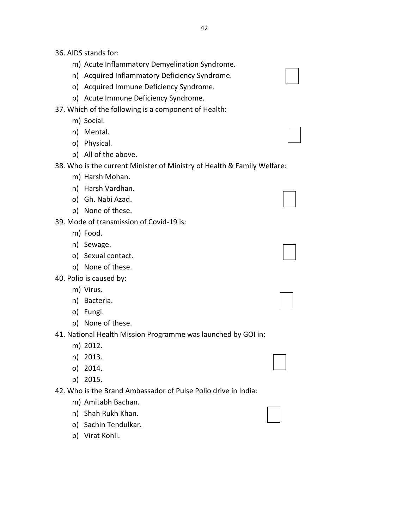- 36. AIDS stands for:
	- m) Acute Inflammatory Demyelination Syndrome.
	- n) Acquired Inflammatory Deficiency Syndrome.
	- o) Acquired Immune Deficiency Syndrome.
	- p) Acute Immune Deficiency Syndrome.
- 37. Which of the following is a component of Health:
	- m) Social.
	- n) Mental.
	- o) Physical.
	- p) All of the above.

38. Who is the current Minister of Ministry of Health & Family Welfare:

- m) Harsh Mohan.
- n) Harsh Vardhan.
- o) Gh. Nabi Azad.
- p) None of these.
- 39. Mode of transmission of Covid-19 is:
	- m) Food.
	- n) Sewage.
	- o) Sexual contact.
	- p) None of these.
- 40. Polio is caused by:
	- m) Virus.
	- n) Bacteria.
	- o) Fungi.
	- p) None of these.
- 41. National Health Mission Programme was launched by GOI in:
	- m) 2012.
	- n) 2013.
	- o) 2014.
	- p) 2015.
- 42. Who is the Brand Ambassador of Pulse Polio drive in India:
	- m) Amitabh Bachan.
	- n) Shah Rukh Khan.
	- o) Sachin Tendulkar.
	- p) Virat Kohli.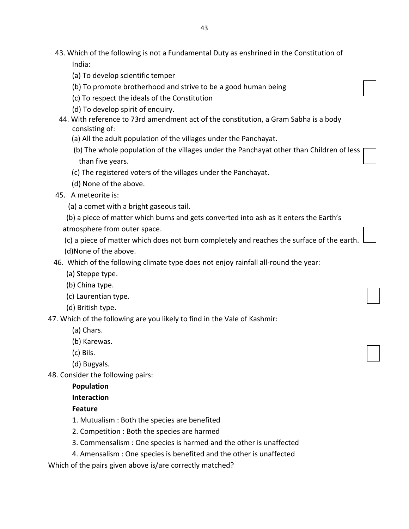- 43. Which of the following is not a Fundamental Duty as enshrined in the Constitution of India:
	- (a) To develop scientific temper
	- (b) To promote brotherhood and strive to be a good human being
	- (c) To respect the ideals of the Constitution
	- (d) To develop spirit of enquiry.
- 44. With reference to 73rd amendment act of the constitution, a Gram Sabha is a body consisting of:
	- (a) All the adult population of the villages under the Panchayat.
	- (b) The whole population of the villages under the Panchayat other than Children of less than five years.
	- (c) The registered voters of the villages under the Panchayat.
	- (d) None of the above.
- 45. A meteorite is:
	- (a) a comet with a bright gaseous tail.
	- (b) a piece of matter which burns and gets converted into ash as it enters the Earth's
	- atmosphere from outer space.
	- (c) a piece of matter which does not burn completely and reaches the surface of the earth.
	- (d)None of the above.
- 46. Which of the following climate type does not enjoy rainfall all-round the year:
	- (a) Steppe type.
	- (b) China type.
	- (c) Laurentian type.
	- (d) British type.

47. Which of the following are you likely to find in the Vale of Kashmir:

- (a) Chars.
- (b) Karewas.
- (c) Bils.
- (d) Bugyals.

48. Consider the following pairs:

### **Population**

## **Interaction**

## **Feature**

- 1. Mutualism : Both the species are benefited
- 2. Competition : Both the species are harmed
- 3. Commensalism : One species is harmed and the other is unaffected
- 4. Amensalism : One species is benefited and the other is unaffected

Which of the pairs given above is/are correctly matched?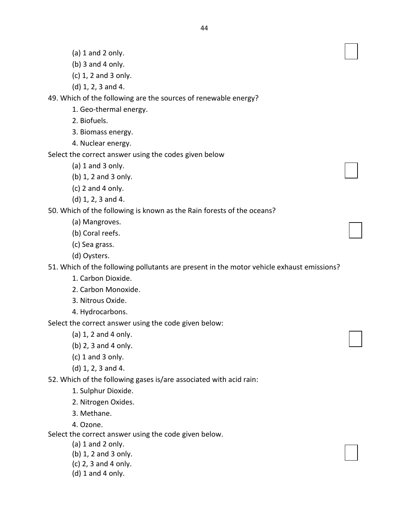- (a) 1 and 2 only.
- (b) 3 and 4 only.
- (c) 1, 2 and 3 only.
- (d) 1, 2, 3 and 4.

49. Which of the following are the sources of renewable energy?

- 1. Geo-thermal energy.
- 2. Biofuels.
- 3. Biomass energy.
- 4. Nuclear energy.

Select the correct answer using the codes given below

- (a) 1 and 3 only.
- (b) 1, 2 and 3 only.
- $(c)$  2 and 4 only.
- (d) 1, 2, 3 and 4.

50. Which of the following is known as the Rain forests of the oceans?

- (a) Mangroves.
- (b) Coral reefs.
- (c) Sea grass.
- (d) Oysters.

51. Which of the following pollutants are present in the motor vehicle exhaust emissions?

- 1. Carbon Dioxide.
- 2. Carbon Monoxide.
- 3. Nitrous Oxide.
- 4. Hydrocarbons.

Select the correct answer using the code given below:

- (a) 1, 2 and 4 only.
- (b) 2, 3 and 4 only.
- (c) 1 and 3 only.
- (d) 1, 2, 3 and 4.

52. Which of the following gases is/are associated with acid rain:

- 1. Sulphur Dioxide.
- 2. Nitrogen Oxides.
- 3. Methane.
- 4. Ozone.

Select the correct answer using the code given below.

- (a) 1 and 2 only.
- (b) 1, 2 and 3 only.
- (c) 2, 3 and 4 only.
- (d) 1 and 4 only.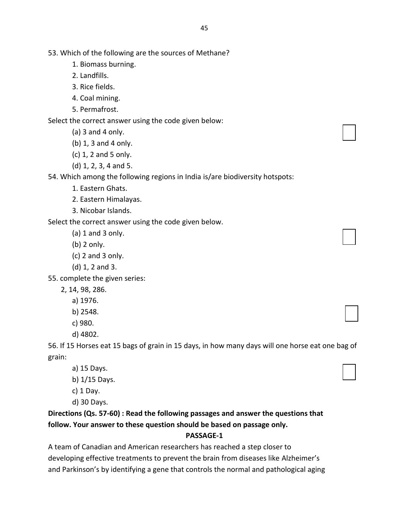53. Which of the following are the sources of Methane?

- 1. Biomass burning.
- 2. Landfills.
- 3. Rice fields.
- 4. Coal mining.
- 5. Permafrost.

Select the correct answer using the code given below:

- (a) 3 and 4 only.
- (b) 1, 3 and 4 only.
- (c) 1, 2 and 5 only.
- (d) 1, 2, 3, 4 and 5.

54. Which among the following regions in India is/are biodiversity hotspots:

- 1. Eastern Ghats.
- 2. Eastern Himalayas.
- 3. Nicobar Islands.

Select the correct answer using the code given below.

- $(a)$  1 and 3 only.
- (b) 2 only.
- (c) 2 and 3 only.
- (d) 1, 2 and 3.

55. complete the given series:

- 2, 14, 98, 286.
	- a) 1976.
	- b) 2548.
	- c) 980.
	- d) 4802.

56. If 15 Horses eat 15 bags of grain in 15 days, in how many days will one horse eat one bag of grain:

- a) 15 Days.
- b) 1/15 Days.
- c) 1 Day.

d) 30 Days.

**Directions (Qs. 57-60) : Read the following passages and answer the questions that follow. Your answer to these question should be based on passage only.**

#### **PASSAGE-1**

A team of Canadian and American researchers has reached a step closer to developing effective treatments to prevent the brain from diseases like Alzheimer's and Parkinson's by identifying a gene that controls the normal and pathological aging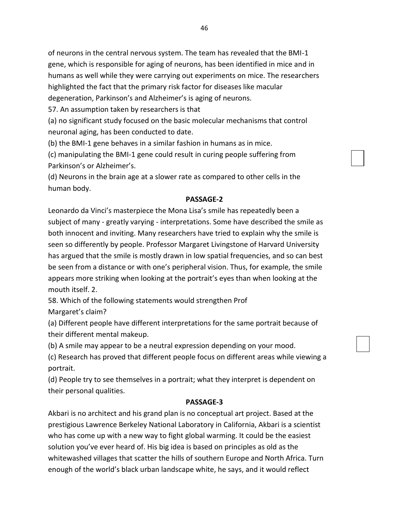of neurons in the central nervous system. The team has revealed that the BMI-1 gene, which is responsible for aging of neurons, has been identified in mice and in humans as well while they were carrying out experiments on mice. The researchers highlighted the fact that the primary risk factor for diseases like macular degeneration, Parkinson's and Alzheimer's is aging of neurons.

57. An assumption taken by researchers is that

(a) no significant study focused on the basic molecular mechanisms that control neuronal aging, has been conducted to date.

(b) the BMI-1 gene behaves in a similar fashion in humans as in mice.

(c) manipulating the BMI-1 gene could result in curing people suffering from Parkinson's or Alzheimer's.

(d) Neurons in the brain age at a slower rate as compared to other cells in the human body.

## **PASSAGE-2**

Leonardo da Vinci's masterpiece the Mona Lisa's smile has repeatedly been a subject of many - greatly varying - interpretations. Some have described the smile as both innocent and inviting. Many researchers have tried to explain why the smile is seen so differently by people. Professor Margaret Livingstone of Harvard University has argued that the smile is mostly drawn in low spatial frequencies, and so can best be seen from a distance or with one's peripheral vision. Thus, for example, the smile appears more striking when looking at the portrait's eyes than when looking at the mouth itself. 2.

58. Which of the following statements would strengthen Prof

Margaret's claim?

(a) Different people have different interpretations for the same portrait because of their different mental makeup.

(b) A smile may appear to be a neutral expression depending on your mood.

(c) Research has proved that different people focus on different areas while viewing a portrait.

(d) People try to see themselves in a portrait; what they interpret is dependent on their personal qualities.

## **PASSAGE-3**

Akbari is no architect and his grand plan is no conceptual art project. Based at the prestigious Lawrence Berkeley National Laboratory in California, Akbari is a scientist who has come up with a new way to fight global warming. It could be the easiest solution you've ever heard of. His big idea is based on principles as old as the whitewashed villages that scatter the hills of southern Europe and North Africa. Turn enough of the world's black urban landscape white, he says, and it would reflect